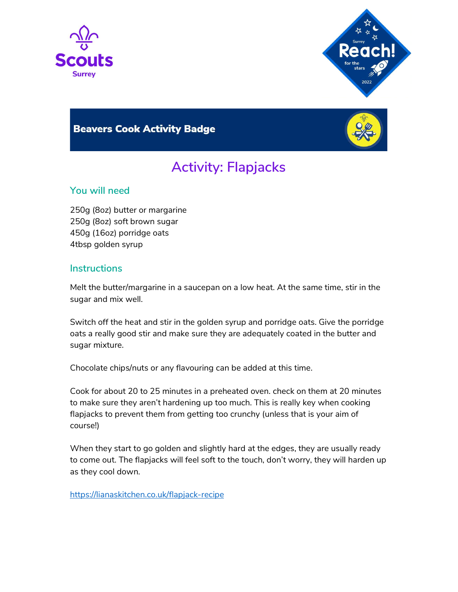



## **Beavers Cook Activity Badge**



# Activity: Flapjacks

### You will need

250g (8oz) butter or margarine 250g (8oz) soft brown sugar 450g (16oz) porridge oats 4tbsp golden syrup

#### **Instructions**

Melt the butter/margarine in a saucepan on a low heat. At the same time, stir in the sugar and mix well.

Switch off the heat and stir in the golden syrup and porridge oats. Give the porridge oats a really good stir and make sure they are adequately coated in the butter and sugar mixture.

Chocolate chips/nuts or any flavouring can be added at this time.

Cook for about 20 to 25 minutes in a preheated oven. check on them at 20 minutes to make sure they aren't hardening up too much. This is really key when cooking flapjacks to prevent them from getting too crunchy (unless that is your aim of course!)

When they start to go golden and slightly hard at the edges, they are usually ready to come out. The flapjacks will feel soft to the touch, don't worry, they will harden up as they cool down.

https://lianaskitchen.co.uk/flapjack-recipe